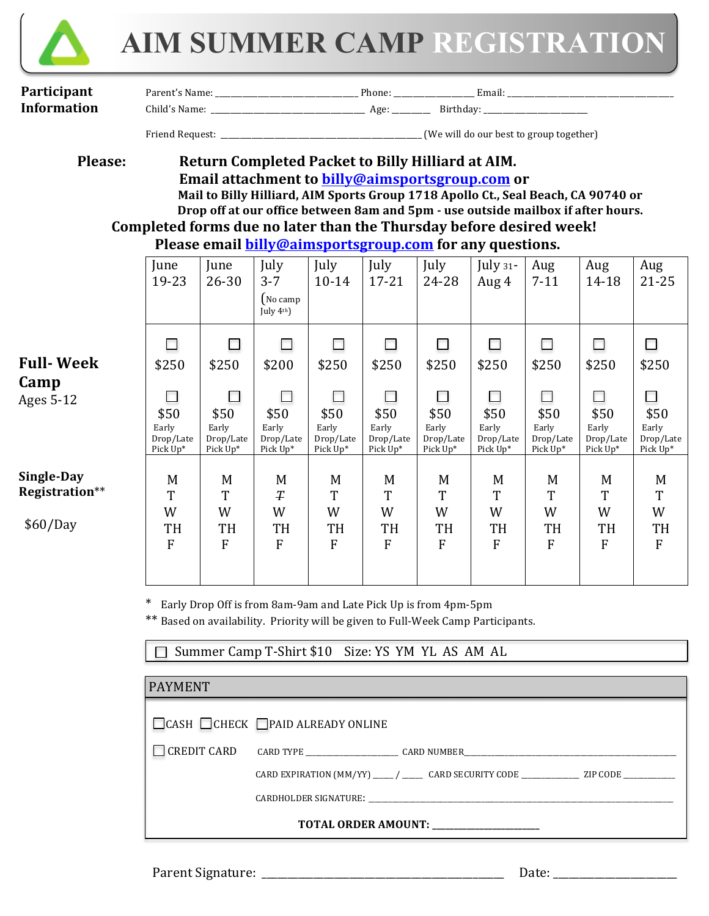

# **AIM SUMMER CAMP REGISTRATION**

| Participant | Name<br>Parant<br>.<br>- 41<br>лашс | Phone: | ulildii. |
|-------------|-------------------------------------|--------|----------|
|-------------|-------------------------------------|--------|----------|

**Information** Child's Name:  $\qquad \qquad \text{Age:} \qquad \qquad \text{Birthday:}$ 

Friend Request: \_\_\_\_\_\_\_\_\_\_\_\_\_\_\_\_\_\_\_\_\_\_\_\_\_\_\_\_\_\_\_\_\_\_\_\_\_\_\_\_\_\_\_\_\_\_\_\_\_\_\_\_ (We will do our best to group together)

## **Please: Return Completed Packet to Billy Hilliard at AIM. Email attachment to billy@aimsportsgroup.com or** Mail to Billy Hilliard, AIM Sports Group 1718 Apollo Ct., Seal Beach, CA 90740 or Drop off at our office between 8am and 5pm - use outside mailbox if after hours. Completed forms due no later than the Thursday before desired week!

# **Please email billy@aimsportsgroup.com** for any questions.

|                                          | June<br>19-23                          | June<br>26-30                                                      | July<br>$3 - 7$<br>$\int$ No camp<br>July 4th) | July<br>$10 - 14$                      | July<br>$17 - 21$                      | July<br>24-28                          | July $31$ -<br>Aug 4                        | Aug<br>$7 - 11$                                                    | Aug<br>14-18                           | Aug<br>$21 - 25$                                 |
|------------------------------------------|----------------------------------------|--------------------------------------------------------------------|------------------------------------------------|----------------------------------------|----------------------------------------|----------------------------------------|---------------------------------------------|--------------------------------------------------------------------|----------------------------------------|--------------------------------------------------|
| <b>Full-Week</b>                         | \$250                                  | $\Box$<br>\$250                                                    | $\overline{\phantom{a}}$<br>\$200              | \$250                                  | \$250                                  | \$250                                  | \$250                                       | П<br>\$250                                                         | \$250                                  | \$250                                            |
| Camp<br>Ages 5-12                        | \$50<br>Early<br>Drop/Late<br>Pick Up* | $\overline{\phantom{a}}$<br>\$50<br>Early<br>Drop/Late<br>Pick Up* | \$50<br>Early<br>Drop/Late<br>Pick Up*         | \$50<br>Early<br>Drop/Late<br>Pick Up* | \$50<br>Early<br>Drop/Late<br>Pick Up* | \$50<br>Early<br>Drop/Late<br>Pick Up* | П<br>\$50<br>Early<br>Drop/Late<br>Pick Up* | $\overline{\phantom{a}}$<br>\$50<br>Early<br>Drop/Late<br>Pick Up* | \$50<br>Early<br>Drop/Late<br>Pick Up* | $\Box$<br>\$50<br>Early<br>Drop/Late<br>Pick Up* |
| Single-Day<br>Registration**<br>\$60/Day | M<br>T<br>W<br>TH<br>$\mathbf{F}$      | M<br>T<br>W<br>TH<br>F                                             | M<br>T<br>W<br>TH<br>F                         | M<br>T<br>W<br>TH<br>F                 | M<br>T<br>W<br>TH<br>F                 | M<br>T<br>W<br>TH<br>F                 | M<br>T<br>W<br>TH<br>F                      | M<br>T<br>W<br>TH<br>F                                             | M<br>T<br>W<br>TH<br>F                 | M<br>T<br>W<br>TH<br>${\bf F}$                   |

\* Early Drop Off is from 8am-9am and Late Pick Up is from 4pm-5pm

\*\* Based on availability. Priority will be given to Full-Week Camp Participants.

□ Summer Camp T-Shirt \$10 Size: YS YM YL AS AM AL

| <b>PAYMENT</b>                          |                                                                                                                |  |  |  |
|-----------------------------------------|----------------------------------------------------------------------------------------------------------------|--|--|--|
|                                         | $\Box$ CASH $\Box$ CHECK $\Box$ PAID ALREADY ONLINE                                                            |  |  |  |
| $\Box$ CREDIT CARD                      |                                                                                                                |  |  |  |
|                                         | CARD EXPIRATION $(MM/YY)$ _____/ _________ CARD SECURITY CODE ________________ ZIP CODE _____________          |  |  |  |
|                                         | CARDHOLDER SIGNATURE: THE SERVICE OF THE SERVICE OF THE SERVICE OF THE SERVICE OF THE SERVICE OF THE SERVICE O |  |  |  |
| TOTAL ORDER AMOUNT: ___________________ |                                                                                                                |  |  |  |

Parent Signature:  $\Box$  and  $\Box$  and  $\Box$  and  $\Box$  are:  $\Box$  and  $\Box$  are:  $\Box$  and  $\Box$  are:  $\Box$  and  $\Box$  are:  $\Box$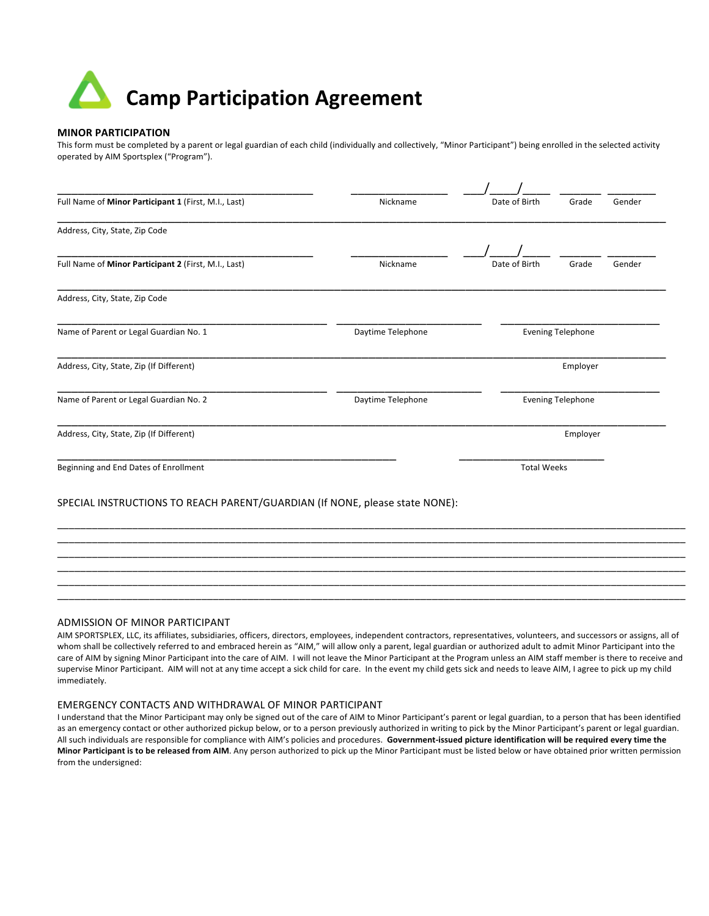# **Camp Participation Agreement**

#### **MINOR PARTICIPATION**

This form must be completed by a parent or legal guardian of each child (individually and collectively, "Minor Participant") being enrolled in the selected activity operated by AIM Sportsplex ("Program").

| Full Name of Minor Participant 1 (First, M.I., Last)                        | Nickname          | Date of Birth            | Grade                    | Gender   |  |  |  |
|-----------------------------------------------------------------------------|-------------------|--------------------------|--------------------------|----------|--|--|--|
| Address, City, State, Zip Code                                              |                   |                          |                          |          |  |  |  |
|                                                                             |                   |                          |                          |          |  |  |  |
| Full Name of Minor Participant 2 (First, M.I., Last)                        | Nickname          | Date of Birth            | Grade                    | Gender   |  |  |  |
| Address, City, State, Zip Code                                              |                   |                          |                          |          |  |  |  |
| Name of Parent or Legal Guardian No. 1                                      | Daytime Telephone | <b>Evening Telephone</b> |                          |          |  |  |  |
| Address, City, State, Zip (If Different)                                    |                   |                          |                          | Employer |  |  |  |
| Name of Parent or Legal Guardian No. 2                                      | Daytime Telephone |                          | <b>Evening Telephone</b> |          |  |  |  |
| Address, City, State, Zip (If Different)                                    | Employer          |                          |                          |          |  |  |  |
| Beginning and End Dates of Enrollment                                       |                   | <b>Total Weeks</b>       |                          |          |  |  |  |
| SPECIAL INSTRUCTIONS TO REACH PARENT/GUARDIAN (If NONE, please state NONE): |                   |                          |                          |          |  |  |  |
|                                                                             |                   |                          |                          |          |  |  |  |
|                                                                             |                   |                          |                          |          |  |  |  |

#### ADMISSION OF MINOR PARTICIPANT

AIM SPORTSPLEX, LLC, its affiliates, subsidiaries, officers, directors, employees, independent contractors, representatives, volunteers, and successors or assigns, all of whom shall be collectively referred to and embraced herein as "AIM," will allow only a parent, legal guardian or authorized adult to admit Minor Participant into the care of AIM by signing Minor Participant into the care of AIM. I will not leave the Minor Participant at the Program unless an AIM staff member is there to receive and supervise Minor Participant. AIM will not at any time accept a sick child for care. In the event my child gets sick and needs to leave AIM, I agree to pick up my child immediately. 

\_\_\_\_\_\_\_\_\_\_\_\_\_\_\_\_\_\_\_\_\_\_\_\_\_\_\_\_\_\_\_\_\_\_\_\_\_\_\_\_\_\_\_\_\_\_\_\_\_\_\_\_\_\_\_\_\_\_\_\_\_\_\_\_\_\_\_\_\_\_\_\_\_\_\_\_\_\_\_\_\_\_\_\_\_\_\_\_\_\_\_\_\_\_\_\_\_\_\_\_\_\_\_\_\_\_\_\_\_ \_\_\_\_\_\_\_\_\_\_\_\_\_\_\_\_\_\_\_\_\_\_\_\_\_\_\_\_\_\_\_\_\_\_\_\_\_\_\_\_\_\_\_\_\_\_\_\_\_\_\_\_\_\_\_\_\_\_\_\_\_\_\_\_\_\_\_\_\_\_\_\_\_\_\_\_\_\_\_\_\_\_\_\_\_\_\_\_\_\_\_\_\_\_\_\_\_\_\_\_\_\_\_\_\_\_\_\_\_ \_\_\_\_\_\_\_\_\_\_\_\_\_\_\_\_\_\_\_\_\_\_\_\_\_\_\_\_\_\_\_\_\_\_\_\_\_\_\_\_\_\_\_\_\_\_\_\_\_\_\_\_\_\_\_\_\_\_\_\_\_\_\_\_\_\_\_\_\_\_\_\_\_\_\_\_\_\_\_\_\_\_\_\_\_\_\_\_\_\_\_\_\_\_\_\_\_\_\_\_\_\_\_\_\_\_\_\_\_ \_\_\_\_\_\_\_\_\_\_\_\_\_\_\_\_\_\_\_\_\_\_\_\_\_\_\_\_\_\_\_\_\_\_\_\_\_\_\_\_\_\_\_\_\_\_\_\_\_\_\_\_\_\_\_\_\_\_\_\_\_\_\_\_\_\_\_\_\_\_\_\_\_\_\_\_\_\_\_\_\_\_\_\_\_\_\_\_\_\_\_\_\_\_\_\_\_\_\_\_\_\_\_\_\_\_\_\_\_

#### EMERGENCY CONTACTS AND WITHDRAWAL OF MINOR PARTICIPANT

I understand that the Minor Participant may only be signed out of the care of AIM to Minor Participant's parent or legal guardian, to a person that has been identified as an emergency contact or other authorized pickup below, or to a person previously authorized in writing to pick by the Minor Participant's parent or legal guardian. All such individuals are responsible for compliance with AIM's policies and procedures. Government-issued picture identification will be required every time the Minor Participant is to be released from AIM. Any person authorized to pick up the Minor Participant must be listed below or have obtained prior written permission from the undersigned: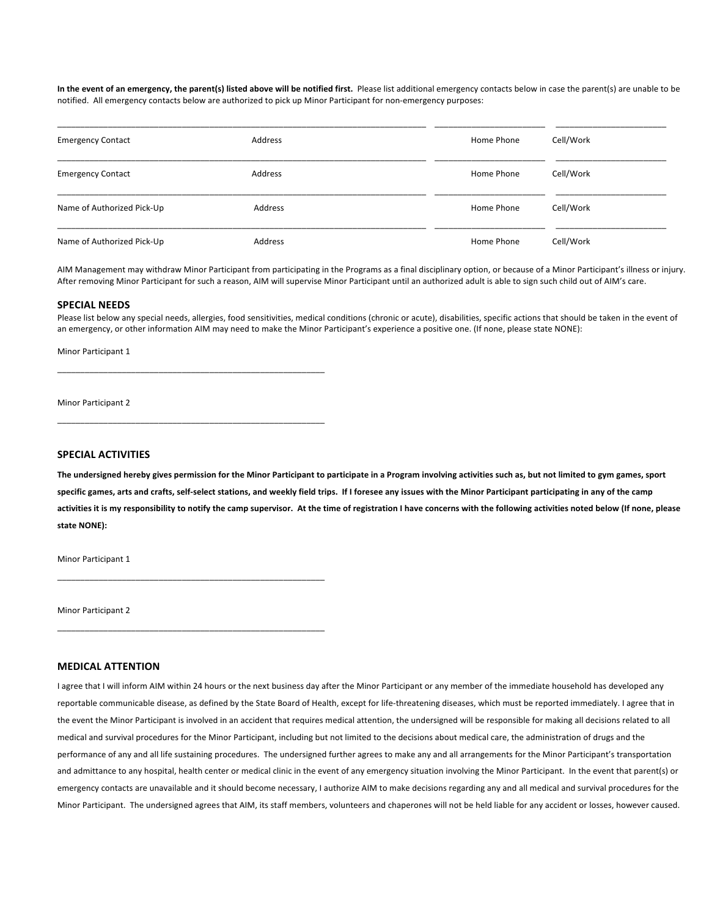In the event of an emergency, the parent(s) listed above will be notified first. Please list additional emergency contacts below in case the parent(s) are unable to be notified. All emergency contacts below are authorized to pick up Minor Participant for non-emergency purposes:

| <b>Emergency Contact</b>   | Address | Home Phone | Cell/Work |
|----------------------------|---------|------------|-----------|
| <b>Emergency Contact</b>   | Address | Home Phone | Cell/Work |
| Name of Authorized Pick-Up | Address | Home Phone | Cell/Work |
| Name of Authorized Pick-Up | Address | Home Phone | Cell/Work |

AIM Management may withdraw Minor Participant from participating in the Programs as a final disciplinary option, or because of a Minor Participant's illness or injury. After removing Minor Participant for such a reason, AIM will supervise Minor Participant until an authorized adult is able to sign such child out of AIM's care.

#### **SPECIAL NEEDS**

Please list below any special needs, allergies, food sensitivities, medical conditions (chronic or acute), disabilities, specific actions that should be taken in the event of an emergency, or other information AIM may need to make the Minor Participant's experience a positive one. (If none, please state NONE):

Minor Participant 1

Minor Participant 2

#### **SPECIAL ACTIVITIES**

The undersigned hereby gives permission for the Minor Participant to participate in a Program involving activities such as, but not limited to gym games, sport specific games, arts and crafts, self-select stations, and weekly field trips. If I foresee any issues with the Minor Participant participating in any of the camp activities it is my responsibility to notify the camp supervisor. At the time of registration I have concerns with the following activities noted below (If none, please state **NONE**):

Minor Participant 1

Minor Participant 2

### \_\_\_\_\_\_\_\_\_\_\_\_\_\_\_\_\_\_\_\_\_\_\_\_\_\_\_\_\_\_\_\_\_\_\_\_\_\_\_\_\_\_\_\_\_\_\_\_\_\_\_\_\_\_\_\_\_\_

\_\_\_\_\_\_\_\_\_\_\_\_\_\_\_\_\_\_\_\_\_\_\_\_\_\_\_\_\_\_\_\_\_\_\_\_\_\_\_\_\_\_\_\_\_\_\_\_\_\_\_\_\_\_\_\_\_\_

\_\_\_\_\_\_\_\_\_\_\_\_\_\_\_\_\_\_\_\_\_\_\_\_\_\_\_\_\_\_\_\_\_\_\_\_\_\_\_\_\_\_\_\_\_\_\_\_\_\_\_\_\_\_\_\_\_\_

\_\_\_\_\_\_\_\_\_\_\_\_\_\_\_\_\_\_\_\_\_\_\_\_\_\_\_\_\_\_\_\_\_\_\_\_\_\_\_\_\_\_\_\_\_\_\_\_\_\_\_\_\_\_\_\_\_\_

#### **MEDICAL ATTENTION**

I agree that I will inform AIM within 24 hours or the next business day after the Minor Participant or any member of the immediate household has developed any reportable communicable disease, as defined by the State Board of Health, except for life-threatening diseases, which must be reported immediately. I agree that in the event the Minor Participant is involved in an accident that requires medical attention, the undersigned will be responsible for making all decisions related to all medical and survival procedures for the Minor Participant, including but not limited to the decisions about medical care, the administration of drugs and the performance of any and all life sustaining procedures. The undersigned further agrees to make any and all arrangements for the Minor Participant's transportation and admittance to any hospital, health center or medical clinic in the event of any emergency situation involving the Minor Participant. In the event that parent(s) or emergency contacts are unavailable and it should become necessary, I authorize AIM to make decisions regarding any and all medical and survival procedures for the Minor Participant. The undersigned agrees that AIM, its staff members, volunteers and chaperones will not be held liable for any accident or losses, however caused.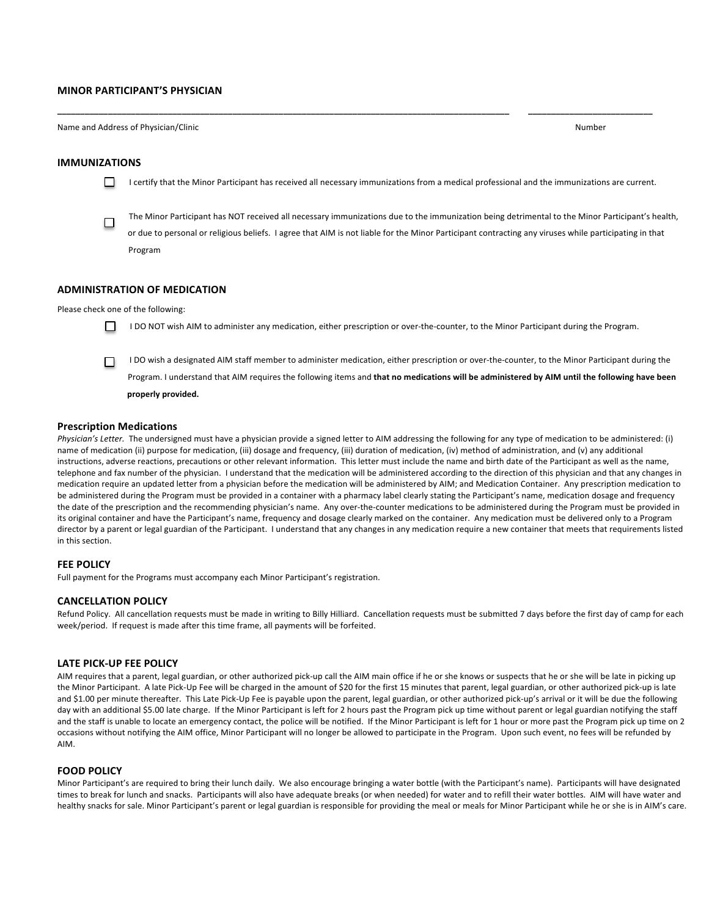#### **MINOR PARTICIPANT'S PHYSICIAN**

Name and Address of Physician/Clinic **Number Number** *Number Number Number* 

#### **IMMUNIZATIONS**

□

п I certify that the Minor Participant has received all necessary immunizations from a medical professional and the immunizations are current.

**\_\_\_\_\_\_\_\_\_\_\_\_\_\_\_\_\_\_\_\_\_\_\_\_\_\_\_\_\_\_\_\_\_\_\_\_\_\_\_\_\_\_\_\_\_\_\_\_\_\_\_\_\_\_\_\_\_\_\_\_\_\_\_\_\_\_\_\_\_\_\_\_\_\_\_\_\_\_\_\_\_\_\_\_\_\_\_\_\_\_\_\_\_\_\_\_\_\_ \_\_\_\_\_\_\_\_\_\_\_\_\_\_\_\_\_\_\_\_\_\_\_\_\_\_\_**

The Minor Participant has NOT received all necessary immunizations due to the immunization being detrimental to the Minor Participant's health, or due to personal or religious beliefs. I agree that AIM is not liable for the Minor Participant contracting any viruses while participating in that Program

#### **ADMINISTRATION OF MEDICATION**

Please check one of the following:



I DO NOT wish AIM to administer any medication, either prescription or over-the-counter, to the Minor Participant during the Program.

I DO wish a designated AIM staff member to administer medication, either prescription or over-the-counter, to the Minor Participant during the □ Program. I understand that AIM requires the following items and that no medications will be administered by AIM until the following have been properly provided.

#### **Prescription Medications**

Physician's Letter. The undersigned must have a physician provide a signed letter to AIM addressing the following for any type of medication to be administered: (i) name of medication (ii) purpose for medication, (iii) dosage and frequency, (iii) duration of medication, (iv) method of administration, and (v) any additional instructions, adverse reactions, precautions or other relevant information. This letter must include the name and birth date of the Participant as well as the name, telephone and fax number of the physician. I understand that the medication will be administered according to the direction of this physician and that any changes in medication require an updated letter from a physician before the medication will be administered by AIM; and Medication Container. Any prescription medication to be administered during the Program must be provided in a container with a pharmacy label clearly stating the Participant's name, medication dosage and frequency the date of the prescription and the recommending physician's name. Any over-the-counter medications to be administered during the Program must be provided in its original container and have the Participant's name, frequency and dosage clearly marked on the container. Any medication must be delivered only to a Program director by a parent or legal guardian of the Participant. I understand that any changes in any medication require a new container that meets that requirements listed in this section.

#### **FEE POLICY**

Full payment for the Programs must accompany each Minor Participant's registration.

#### **CANCELLATION POLICY**

Refund Policy. All cancellation requests must be made in writing to Billy Hilliard. Cancellation requests must be submitted 7 days before the first day of camp for each week/period. If request is made after this time frame, all payments will be forfeited.

#### **LATE PICK-UP FEE POLICY**

AIM requires that a parent, legal guardian, or other authorized pick-up call the AIM main office if he or she knows or suspects that he or she will be late in picking up the Minor Participant. A late Pick-Up Fee will be charged in the amount of \$20 for the first 15 minutes that parent, legal guardian, or other authorized pick-up is late and \$1.00 per minute thereafter. This Late Pick-Up Fee is payable upon the parent, legal guardian, or other authorized pick-up's arrival or it will be due the following day with an additional \$5.00 late charge. If the Minor Participant is left for 2 hours past the Program pick up time without parent or legal guardian notifying the staff and the staff is unable to locate an emergency contact, the police will be notified. If the Minor Participant is left for 1 hour or more past the Program pick up time on 2 occasions without notifying the AIM office, Minor Participant will no longer be allowed to participate in the Program. Upon such event, no fees will be refunded by AIM. 

#### **FOOD POLICY**

Minor Participant's are required to bring their lunch daily. We also encourage bringing a water bottle (with the Participant's name). Participants will have designated times to break for lunch and snacks. Participants will also have adequate breaks (or when needed) for water and to refill their water bottles. AIM will have water and healthy snacks for sale. Minor Participant's parent or legal guardian is responsible for providing the meal or meals for Minor Participant while he or she is in AIM's care.